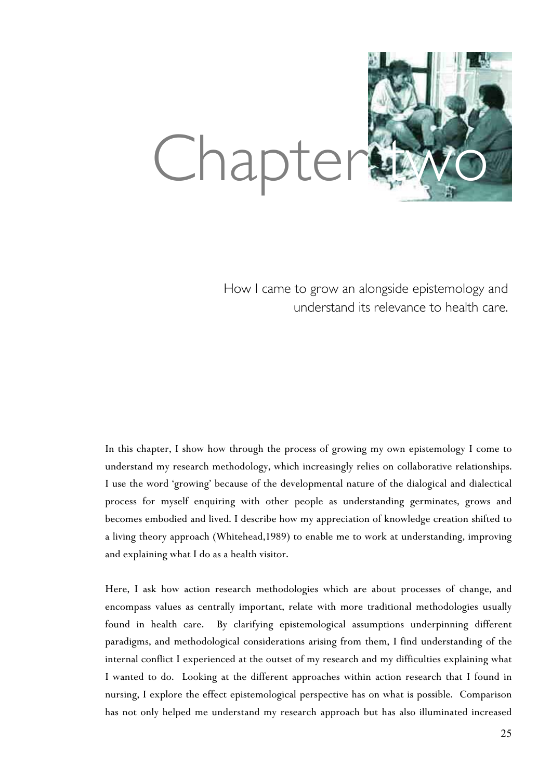

How I came to grow an alongside epistemology and understand its relevance to health care.

In this chapter, I show how through the process of growing my own epistemology I come to understand my research methodology, which increasingly relies on collaborative relationships. I use the word 'growing' because of the developmental nature of the dialogical and dialectical process for myself enquiring with other people as understanding germinates, grows and becomes embodied and lived. I describe how my appreciation of knowledge creation shifted to a living theory approach (Whitehead,1989) to enable me to work at understanding, improving and explaining what I do as a health visitor.

Here, I ask how action research methodologies which are about processes of change, and encompass values as centrally important, relate with more traditional methodologies usually found in health care. By clarifying epistemological assumptions underpinning different paradigms, and methodological considerations arising from them, I find understanding of the internal conflict I experienced at the outset of my research and my difficulties explaining what I wanted to do. Looking at the different approaches within action research that I found in nursing, I explore the effect epistemological perspective has on what is possible. Comparison has not only helped me understand my research approach but has also illuminated increased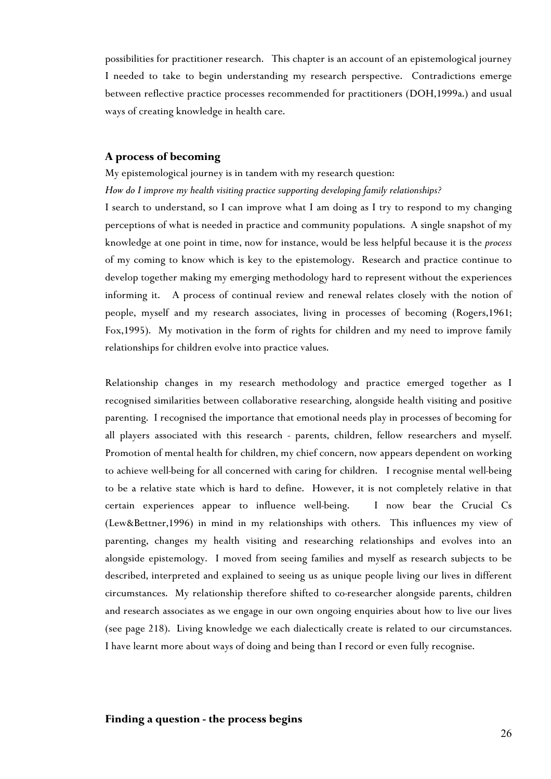possibilities for practitioner research. This chapter is an account of an epistemological journey I needed to take to begin understanding my research perspective. Contradictions emerge between reflective practice processes recommended for practitioners (DOH,1999a.) and usual ways of creating knowledge in health care.

# **A process of becoming**

My epistemological journey is in tandem with my research question: *How do I improve my health visiting practice supporting developing family relationships?* 

I search to understand, so I can improve what I am doing as I try to respond to my changing perceptions of what is needed in practice and community populations. A single snapshot of my knowledge at one point in time, now for instance, would be less helpful because it is the *process* of my coming to know which is key to the epistemology. Research and practice continue to develop together making my emerging methodology hard to represent without the experiences informing it. A process of continual review and renewal relates closely with the notion of people, myself and my research associates, living in processes of becoming (Rogers,1961; Fox,1995). My motivation in the form of rights for children and my need to improve family relationships for children evolve into practice values.

Relationship changes in my research methodology and practice emerged together as I recognised similarities between collaborative researching, alongside health visiting and positive parenting. I recognised the importance that emotional needs play in processes of becoming for all players associated with this research - parents, children, fellow researchers and myself. Promotion of mental health for children, my chief concern, now appears dependent on working to achieve well-being for all concerned with caring for children. I recognise mental well-being to be a relative state which is hard to define. However, it is not completely relative in that certain experiences appear to influence well-being. I now bear the Crucial Cs (Lew&Bettner,1996) in mind in my relationships with others. This influences my view of parenting, changes my health visiting and researching relationships and evolves into an alongside epistemology. I moved from seeing families and myself as research subjects to be described, interpreted and explained to seeing us as unique people living our lives in different circumstances. My relationship therefore shifted to co-researcher alongside parents, children and research associates as we engage in our own ongoing enquiries about how to live our lives (see page 218). Living knowledge we each dialectically create is related to our circumstances. I have learnt more about ways of doing and being than I record or even fully recognise.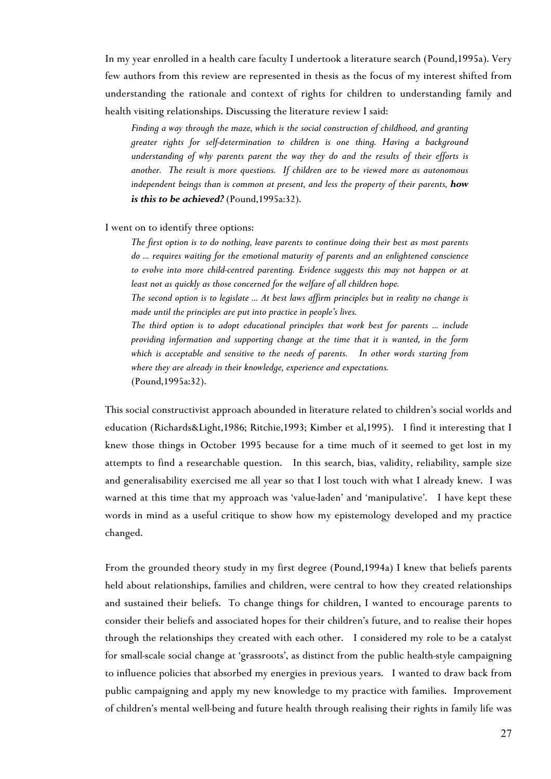In my year enrolled in a health care faculty I undertook a literature search (Pound,1995a). Very few authors from this review are represented in thesis as the focus of my interest shifted from understanding the rationale and context of rights for children to understanding family and health visiting relationships. Discussing the literature review I said:

*Finding a way through the maze, which is the social construction of childhood, and granting greater rights for self-determination to children is one thing. Having a background understanding of why parents parent the way they do and the results of their efforts is another. The result is more questions. If children are to be viewed more as autonomous independent beings than is common at present, and less the property of their parents, how is this to be achieved?* (Pound,1995a:32).

I went on to identify three options:

*The first option is to do nothing, leave parents to continue doing their best as most parents do ... requires waiting for the emotional maturity of parents and an enlightened conscience to evolve into more child-centred parenting. Evidence suggests this may not happen or at least not as quickly as those concerned for the welfare of all children hope.*

*The second option is to legislate ... At best laws affirm principles but in reality no change is made until the principles are put into practice in people's lives.*

*The third option is to adopt educational principles that work best for parents ... include providing information and supporting change at the time that it is wanted, in the form which is acceptable and sensitive to the needs of parents. In other words starting from where they are already in their knowledge, experience and expectations.* 

(Pound,1995a:32).

This social constructivist approach abounded in literature related to children's social worlds and education (Richards&Light,1986; Ritchie,1993; Kimber et al,1995). I find it interesting that I knew those things in October 1995 because for a time much of it seemed to get lost in my attempts to find a researchable question. In this search, bias, validity, reliability, sample size and generalisability exercised me all year so that I lost touch with what I already knew. I was warned at this time that my approach was 'value-laden' and 'manipulative'. I have kept these words in mind as a useful critique to show how my epistemology developed and my practice changed.

From the grounded theory study in my first degree (Pound,1994a) I knew that beliefs parents held about relationships, families and children, were central to how they created relationships and sustained their beliefs. To change things for children, I wanted to encourage parents to consider their beliefs and associated hopes for their children's future, and to realise their hopes through the relationships they created with each other. I considered my role to be a catalyst for small-scale social change at 'grassroots', as distinct from the public health-style campaigning to influence policies that absorbed my energies in previous years. I wanted to draw back from public campaigning and apply my new knowledge to my practice with families. Improvement of children's mental well-being and future health through realising their rights in family life was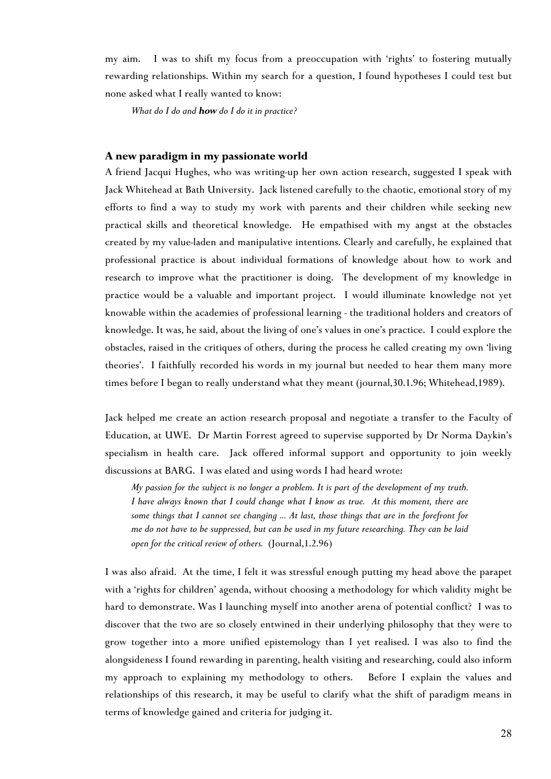my aim. I was to shift my focus from a preoccupation with 'rights' to fostering mutually rewarding relationships. Within my search for a question, I found hypotheses I could test but none asked what I really wanted to know:

*What do I do and how do I do it in practice?*

## **A new paradigm in my passionate world**

A friend Jacqui Hughes, who was writing-up her own action research, suggested I speak with Jack Whitehead at Bath University. Jack listened carefully to the chaotic, emotional story of my efforts to find a way to study my work with parents and their children while seeking new practical skills and theoretical knowledge. He empathised with my angst at the obstacles created by my value-laden and manipulative intentions. Clearly and carefully, he explained that professional practice is about individual formations of knowledge about how to work and research to improve what the practitioner is doing. The development of my knowledge in practice would be a valuable and important project. I would illuminate knowledge not yet knowable within the academies of professional learning - the traditional holders and creators of knowledge. It was, he said, about the living of one's values in one's practice. I could explore the obstacles, raised in the critiques of others, during the process he called creating my own 'living theories'. I faithfully recorded his words in my journal but needed to hear them many more times before I began to really understand what they meant (journal,30.1.96; Whitehead,1989).

Jack helped me create an action research proposal and negotiate a transfer to the Faculty of Education, at UWE. Dr Martin Forrest agreed to supervise supported by Dr Norma Daykin's specialism in health care. Jack offered informal support and opportunity to join weekly discussions at BARG. I was elated and using words I had heard wrote:

*My passion for the subject is no longer a problem. It is part of the development of my truth. I have always known that I could change what I know as true. At this moment, there are some things that I cannot see changing ... At last, those things that are in the forefront for me do not have to be suppressed, but can be used in my future researching. They can be laid open for the critical review of others.* (Journal,1.2.96)

I was also afraid. At the time, I felt it was stressful enough putting my head above the parapet with a 'rights for children' agenda, without choosing a methodology for which validity might be hard to demonstrate. Was I launching myself into another arena of potential conflict? I was to discover that the two are so closely entwined in their underlying philosophy that they were to grow together into a more unified epistemology than I yet realised. I was also to find the alongsideness I found rewarding in parenting, health visiting and researching, could also inform my approach to explaining my methodology to others. Before I explain the values and relationships of this research, it may be useful to clarify what the shift of paradigm means in terms of knowledge gained and criteria for judging it.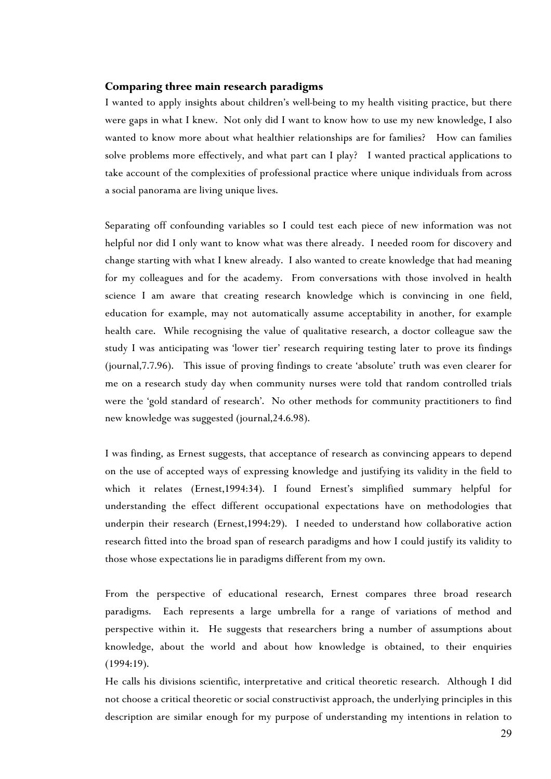# **Comparing three main research paradigms**

I wanted to apply insights about children's well-being to my health visiting practice, but there were gaps in what I knew. Not only did I want to know how to use my new knowledge, I also wanted to know more about what healthier relationships are for families? How can families solve problems more effectively, and what part can I play? I wanted practical applications to take account of the complexities of professional practice where unique individuals from across a social panorama are living unique lives.

Separating off confounding variables so I could test each piece of new information was not helpful nor did I only want to know what was there already. I needed room for discovery and change starting with what I knew already. I also wanted to create knowledge that had meaning for my colleagues and for the academy. From conversations with those involved in health science I am aware that creating research knowledge which is convincing in one field, education for example, may not automatically assume acceptability in another, for example health care. While recognising the value of qualitative research, a doctor colleague saw the study I was anticipating was 'lower tier' research requiring testing later to prove its findings (journal,7.7.96). This issue of proving findings to create 'absolute' truth was even clearer for me on a research study day when community nurses were told that random controlled trials were the 'gold standard of research'. No other methods for community practitioners to find new knowledge was suggested (journal,24.6.98).

I was finding, as Ernest suggests, that acceptance of research as convincing appears to depend on the use of accepted ways of expressing knowledge and justifying its validity in the field to which it relates (Ernest,1994:34). I found Ernest's simplified summary helpful for understanding the effect different occupational expectations have on methodologies that underpin their research (Ernest,1994:29). I needed to understand how collaborative action research fitted into the broad span of research paradigms and how I could justify its validity to those whose expectations lie in paradigms different from my own.

From the perspective of educational research, Ernest compares three broad research paradigms. Each represents a large umbrella for a range of variations of method and perspective within it. He suggests that researchers bring a number of assumptions about knowledge, about the world and about how knowledge is obtained, to their enquiries (1994:19).

He calls his divisions scientific, interpretative and critical theoretic research. Although I did not choose a critical theoretic or social constructivist approach, the underlying principles in this description are similar enough for my purpose of understanding my intentions in relation to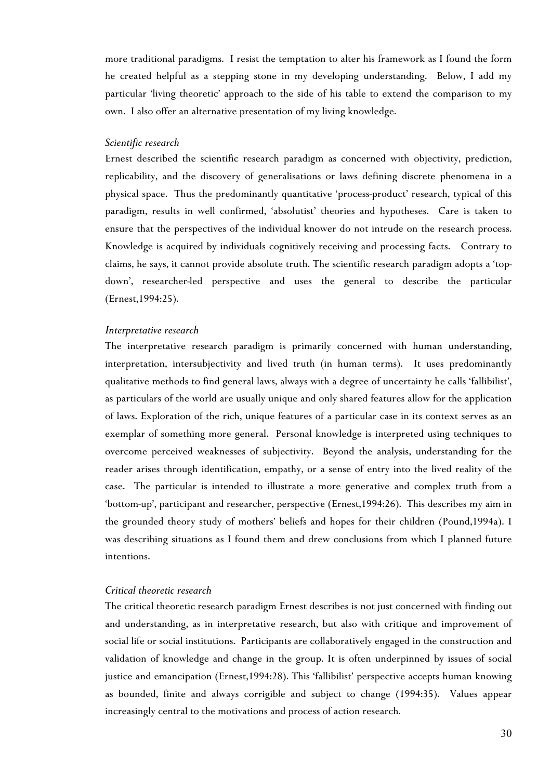more traditional paradigms. I resist the temptation to alter his framework as I found the form he created helpful as a stepping stone in my developing understanding. Below, I add my particular 'living theoretic' approach to the side of his table to extend the comparison to my own. I also offer an alternative presentation of my living knowledge.

#### *Scientific research*

Ernest described the scientific research paradigm as concerned with objectivity, prediction, replicability, and the discovery of generalisations or laws defining discrete phenomena in a physical space. Thus the predominantly quantitative 'process-product' research, typical of this paradigm, results in well confirmed, 'absolutist' theories and hypotheses. Care is taken to ensure that the perspectives of the individual knower do not intrude on the research process. Knowledge is acquired by individuals cognitively receiving and processing facts. Contrary to claims, he says, it cannot provide absolute truth. The scientific research paradigm adopts a 'topdown', researcher-led perspective and uses the general to describe the particular (Ernest,1994:25).

## *Interpretative research*

The interpretative research paradigm is primarily concerned with human understanding, interpretation, intersubjectivity and lived truth (in human terms). It uses predominantly qualitative methods to find general laws, always with a degree of uncertainty he calls 'fallibilist', as particulars of the world are usually unique and only shared features allow for the application of laws. Exploration of the rich, unique features of a particular case in its context serves as an exemplar of something more general. Personal knowledge is interpreted using techniques to overcome perceived weaknesses of subjectivity. Beyond the analysis, understanding for the reader arises through identification, empathy, or a sense of entry into the lived reality of the case. The particular is intended to illustrate a more generative and complex truth from a 'bottom-up', participant and researcher, perspective (Ernest,1994:26). This describes my aim in the grounded theory study of mothers' beliefs and hopes for their children (Pound,1994a). I was describing situations as I found them and drew conclusions from which I planned future intentions.

## *Critical theoretic research*

The critical theoretic research paradigm Ernest describes is not just concerned with finding out and understanding, as in interpretative research, but also with critique and improvement of social life or social institutions. Participants are collaboratively engaged in the construction and validation of knowledge and change in the group. It is often underpinned by issues of social justice and emancipation (Ernest,1994:28). This 'fallibilist' perspective accepts human knowing as bounded, finite and always corrigible and subject to change (1994:35). Values appear increasingly central to the motivations and process of action research.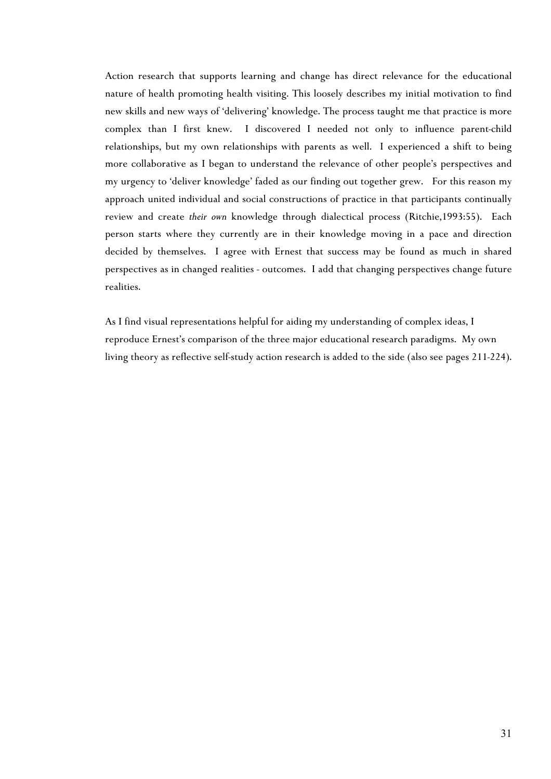Action research that supports learning and change has direct relevance for the educational nature of health promoting health visiting. This loosely describes my initial motivation to find new skills and new ways of 'delivering' knowledge. The process taught me that practice is more complex than I first knew. I discovered I needed not only to influence parent-child relationships, but my own relationships with parents as well. I experienced a shift to being more collaborative as I began to understand the relevance of other people's perspectives and my urgency to 'deliver knowledge' faded as our finding out together grew. For this reason my approach united individual and social constructions of practice in that participants continually review and create *their own* knowledge through dialectical process (Ritchie,1993:55). Each person starts where they currently are in their knowledge moving in a pace and direction decided by themselves. I agree with Ernest that success may be found as much in shared perspectives as in changed realities - outcomes. I add that changing perspectives change future realities.

As I find visual representations helpful for aiding my understanding of complex ideas, I reproduce Ernest's comparison of the three major educational research paradigms. My own living theory as reflective self-study action research is added to the side (also see pages 211-224).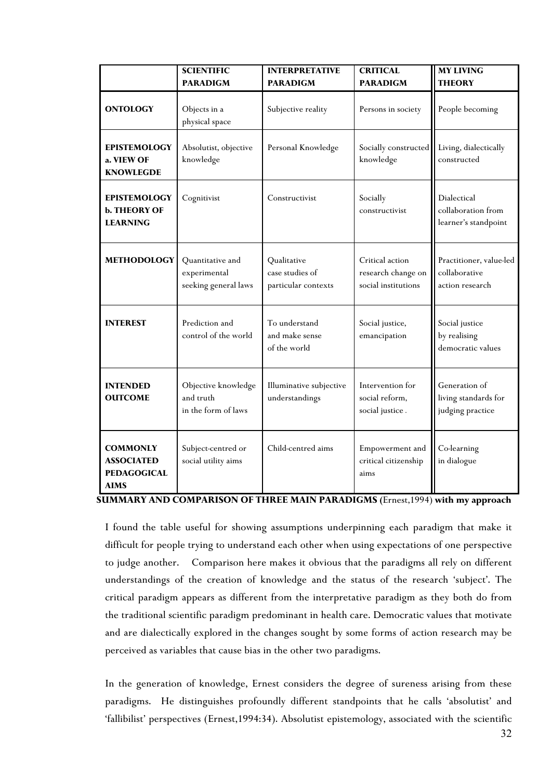|                                                                           | <b>SCIENTIFIC</b><br><b>PARADIGM</b>                     | <b>INTERPRETATIVE</b><br><b>PARADIGM</b>              | <b>CRITICAL</b><br><b>PARADIGM</b>                           | <b>MY LIVING</b><br><b>THEORY</b>                           |
|---------------------------------------------------------------------------|----------------------------------------------------------|-------------------------------------------------------|--------------------------------------------------------------|-------------------------------------------------------------|
| <b>ONTOLOGY</b>                                                           | Objects in a<br>physical space                           | Subjective reality                                    | Persons in society                                           | People becoming                                             |
| <b>EPISTEMOLOGY</b><br>a. VIEW OF<br><b>KNOWLEGDE</b>                     | Absolutist, objective<br>knowledge                       | Personal Knowledge                                    | Socially constructed<br>knowledge                            | Living, dialectically<br>constructed                        |
| <b>EPISTEMOLOGY</b><br><b>b. THEORY OF</b><br><b>LEARNING</b>             | Cognitivist                                              | Constructivist                                        | Socially<br>constructivist                                   | Dialectical<br>collaboration from<br>learner's standpoint   |
| <b>METHODOLOGY</b>                                                        | Quantitative and<br>experimental<br>seeking general laws | Qualitative<br>case studies of<br>particular contexts | Critical action<br>research change on<br>social institutions | Practitioner, value-led<br>collaborative<br>action research |
| <b>INTEREST</b>                                                           | Prediction and<br>control of the world                   | To understand<br>and make sense<br>of the world       | Social justice,<br>emancipation                              | Social justice<br>by realising<br>democratic values         |
| <b>INTENDED</b><br><b>OUTCOME</b>                                         | Objective knowledge<br>and truth<br>in the form of laws  | Illuminative subjective<br>understandings             | Intervention for<br>social reform,<br>social justice.        | Generation of<br>living standards for<br>judging practice   |
| <b>COMMONLY</b><br><b>ASSOCIATED</b><br><b>PEDAGOGICAL</b><br><b>AIMS</b> | Subject-centred or<br>social utility aims                | Child-centred aims                                    | Empowerment and<br>critical citizenship<br>aims              | Co-learning<br>in dialogue                                  |

 **SUMMARY AND COMPARISON OF THREE MAIN PARADIGMS (**Ernest,1994) **with my approach**

I found the table useful for showing assumptions underpinning each paradigm that make it difficult for people trying to understand each other when using expectations of one perspective to judge another. Comparison here makes it obvious that the paradigms all rely on different understandings of the creation of knowledge and the status of the research 'subject'. The critical paradigm appears as different from the interpretative paradigm as they both do from the traditional scientific paradigm predominant in health care. Democratic values that motivate and are dialectically explored in the changes sought by some forms of action research may be perceived as variables that cause bias in the other two paradigms.

In the generation of knowledge, Ernest considers the degree of sureness arising from these paradigms. He distinguishes profoundly different standpoints that he calls 'absolutist' and 'fallibilist' perspectives (Ernest,1994:34). Absolutist epistemology, associated with the scientific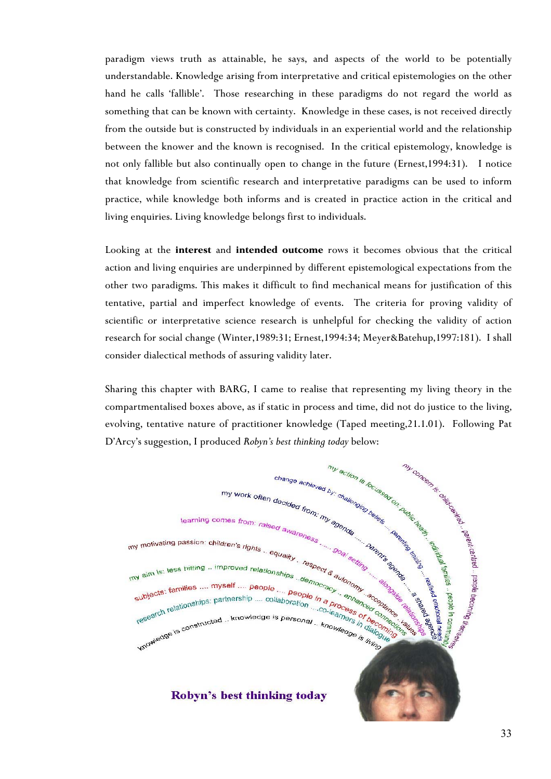paradigm views truth as attainable, he says, and aspects of the world to be potentially understandable. Knowledge arising from interpretative and critical epistemologies on the other hand he calls 'fallible'. Those researching in these paradigms do not regard the world as something that can be known with certainty. Knowledge in these cases, is not received directly from the outside but is constructed by individuals in an experiential world and the relationship between the knower and the known is recognised. In the critical epistemology, knowledge is not only fallible but also continually open to change in the future (Ernest,1994:31). I notice that knowledge from scientific research and interpretative paradigms can be used to inform practice, while knowledge both informs and is created in practice action in the critical and living enquiries. Living knowledge belongs first to individuals.

Looking at the **interest** and **intended outcome** rows it becomes obvious that the critical action and living enquiries are underpinned by different epistemological expectations from the other two paradigms. This makes it difficult to find mechanical means for justification of this tentative, partial and imperfect knowledge of events. The criteria for proving validity of scientific or interpretative science research is unhelpful for checking the validity of action research for social change (Winter,1989:31; Ernest,1994:34; Meyer&Batehup,1997:181). I shall consider dialectical methods of assuring validity later.

Sharing this chapter with BARG, I came to realise that representing my living theory in the compartmentalised boxes above, as if static in process and time, did not do justice to the living, D'Arcy's suggestion, I produced *Robyn's best thinking today* below:

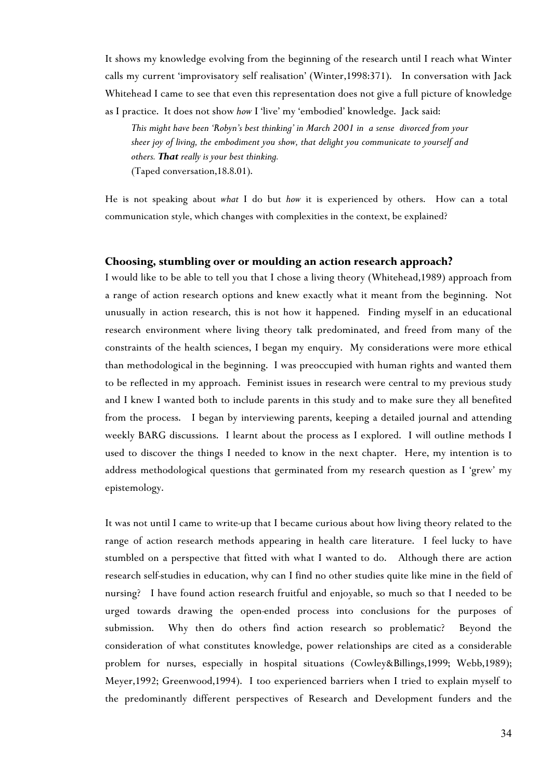It shows my knowledge evolving from the beginning of the research until I reach what Winter calls my current 'improvisatory self realisation' (Winter,1998:371). In conversation with Jack Whitehead I came to see that even this representation does not give a full picture of knowledge as I practice. It does not show *how* I 'live' my 'embodied' knowledge. Jack said:

*This might have been 'Robyn's best thinking' in March 2001 in a sense divorced from your sheer joy of living, the embodiment you show, that delight you communicate to yourself and others. That really is your best thinking.* (Taped conversation,18.8.01).

He is not speaking about *what* I do but *how* it is experienced by others. How can a total communication style, which changes with complexities in the context, be explained?

#### **Choosing, stumbling over or moulding an action research approach?**

I would like to be able to tell you that I chose a living theory (Whitehead,1989) approach from a range of action research options and knew exactly what it meant from the beginning. Not unusually in action research, this is not how it happened. Finding myself in an educational research environment where living theory talk predominated, and freed from many of the constraints of the health sciences, I began my enquiry. My considerations were more ethical than methodological in the beginning. I was preoccupied with human rights and wanted them to be reflected in my approach. Feminist issues in research were central to my previous study and I knew I wanted both to include parents in this study and to make sure they all benefited from the process. I began by interviewing parents, keeping a detailed journal and attending weekly BARG discussions. I learnt about the process as I explored. I will outline methods I used to discover the things I needed to know in the next chapter. Here, my intention is to address methodological questions that germinated from my research question as I 'grew' my epistemology.

It was not until I came to write-up that I became curious about how living theory related to the range of action research methods appearing in health care literature. I feel lucky to have stumbled on a perspective that fitted with what I wanted to do. Although there are action research self-studies in education, why can I find no other studies quite like mine in the field of nursing? I have found action research fruitful and enjoyable, so much so that I needed to be urged towards drawing the open-ended process into conclusions for the purposes of submission. Why then do others find action research so problematic? Beyond the consideration of what constitutes knowledge, power relationships are cited as a considerable problem for nurses, especially in hospital situations (Cowley&Billings,1999; Webb,1989); Meyer,1992; Greenwood,1994). I too experienced barriers when I tried to explain myself to the predominantly different perspectives of Research and Development funders and the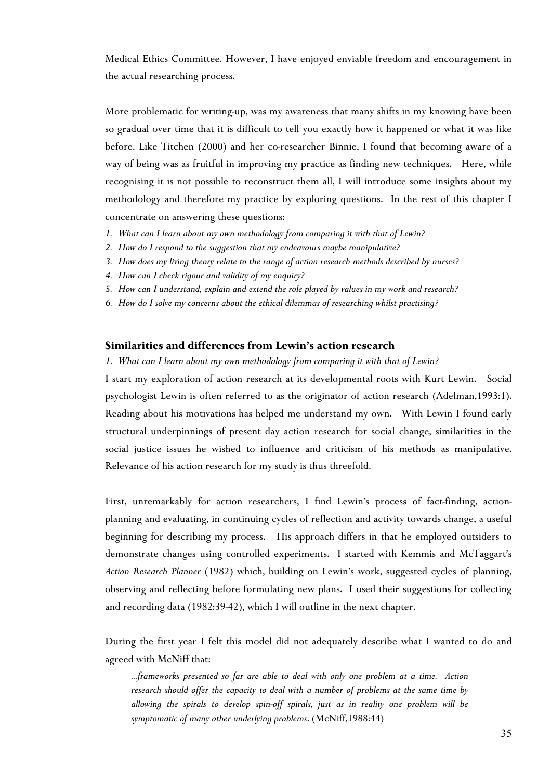Medical Ethics Committee. However, I have enjoyed enviable freedom and encouragement in the actual researching process.

More problematic for writing-up, was my awareness that many shifts in my knowing have been so gradual over time that it is difficult to tell you exactly how it happened or what it was like before. Like Titchen (2000) and her co-researcher Binnie, I found that becoming aware of a way of being was as fruitful in improving my practice as finding new techniques. Here, while recognising it is not possible to reconstruct them all, I will introduce some insights about my methodology and therefore my practice by exploring questions. In the rest of this chapter I concentrate on answering these questions:

- *1. What can I learn about my own methodology from comparing it with that of Lewin?*
- *2. How do I respond to the suggestion that my endeavours maybe manipulative?*
- *3. How does my living theory relate to the range of action research methods described by nurses?*
- *4. How can I check rigour and validity of my enquiry?*
- *5. How can I understand, explain and extend the role played by values in my work and research?*
- *6. How do I solve my concerns about the ethical dilemmas of researching whilst practising?*

## **Similarities and differences from Lewin's action research**

## *1. What can I learn about my own methodology from comparing it with that of Lewin?*

I start my exploration of action research at its developmental roots with Kurt Lewin. Social psychologist Lewin is often referred to as the originator of action research (Adelman,1993:1). Reading about his motivations has helped me understand my own. With Lewin I found early structural underpinnings of present day action research for social change, similarities in the social justice issues he wished to influence and criticism of his methods as manipulative. Relevance of his action research for my study is thus threefold.

First, unremarkably for action researchers, I find Lewin's process of fact-finding, actionplanning and evaluating, in continuing cycles of reflection and activity towards change, a useful beginning for describing my process. His approach differs in that he employed outsiders to demonstrate changes using controlled experiments. I started with Kemmis and McTaggart's *Action Research Planner* (1982) which, building on Lewin's work, suggested cycles of planning, observing and reflecting before formulating new plans. I used their suggestions for collecting and recording data (1982:39-42), which I will outline in the next chapter.

During the first year I felt this model did not adequately describe what I wanted to do and agreed with McNiff that:

*...frameworks presented so far are able to deal with only one problem at a time. Action research should offer the capacity to deal with a number of problems at the same time by allowing the spirals to develop spin-off spirals, just as in reality one problem will be symptomatic of many other underlying problems*. (McNiff,1988:44)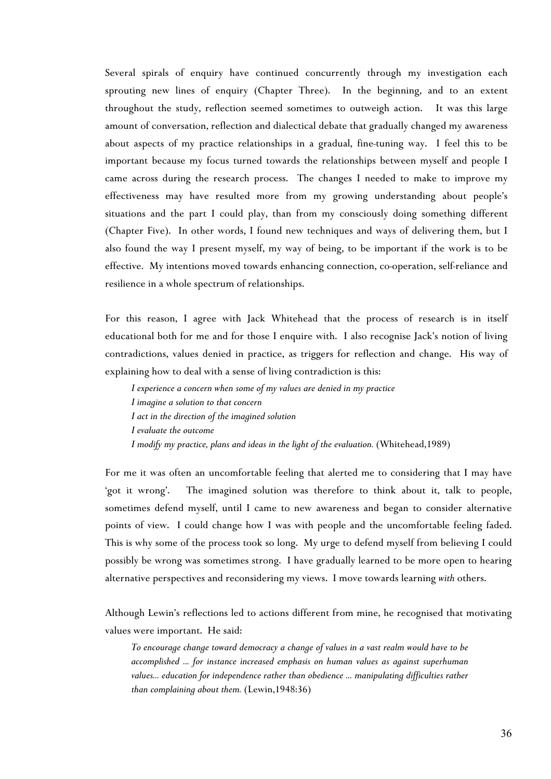Several spirals of enquiry have continued concurrently through my investigation each sprouting new lines of enquiry (Chapter Three). In the beginning, and to an extent throughout the study, reflection seemed sometimes to outweigh action. It was this large amount of conversation, reflection and dialectical debate that gradually changed my awareness about aspects of my practice relationships in a gradual, fine-tuning way. I feel this to be important because my focus turned towards the relationships between myself and people I came across during the research process. The changes I needed to make to improve my effectiveness may have resulted more from my growing understanding about people's situations and the part I could play, than from my consciously doing something different (Chapter Five). In other words, I found new techniques and ways of delivering them, but I also found the way I present myself, my way of being, to be important if the work is to be effective. My intentions moved towards enhancing connection, co-operation, self-reliance and resilience in a whole spectrum of relationships.

For this reason, I agree with Jack Whitehead that the process of research is in itself educational both for me and for those I enquire with. I also recognise Jack's notion of living contradictions, values denied in practice, as triggers for reflection and change. His way of explaining how to deal with a sense of living contradiction is this:

*I experience a concern when some of my values are denied in my practice I imagine a solution to that concern I act in the direction of the imagined solution I evaluate the outcome I modify my practice, plans and ideas in the light of the evaluation.* (Whitehead,1989)

For me it was often an uncomfortable feeling that alerted me to considering that I may have 'got it wrong'. The imagined solution was therefore to think about it, talk to people, sometimes defend myself, until I came to new awareness and began to consider alternative points of view. I could change how I was with people and the uncomfortable feeling faded. This is why some of the process took so long. My urge to defend myself from believing I could possibly be wrong was sometimes strong. I have gradually learned to be more open to hearing alternative perspectives and reconsidering my views. I move towards learning *with* others.

Although Lewin's reflections led to actions different from mine, he recognised that motivating values were important. He said:

*To encourage change toward democracy a change of values in a vast realm would have to be accomplished ... for instance increased emphasis on human values as against superhuman values... education for independence rather than obedience ... manipulating difficulties rather than complaining about them.* (Lewin,1948:36)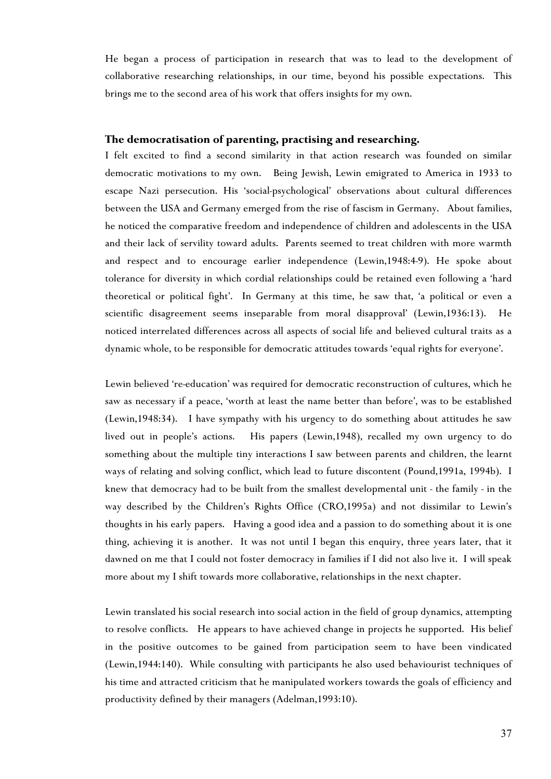He began a process of participation in research that was to lead to the development of collaborative researching relationships, in our time, beyond his possible expectations. This brings me to the second area of his work that offers insights for my own.

## **The democratisation of parenting, practising and researching.**

I felt excited to find a second similarity in that action research was founded on similar democratic motivations to my own. Being Jewish, Lewin emigrated to America in 1933 to escape Nazi persecution. His 'social-psychological' observations about cultural differences between the USA and Germany emerged from the rise of fascism in Germany. About families, he noticed the comparative freedom and independence of children and adolescents in the USA and their lack of servility toward adults. Parents seemed to treat children with more warmth and respect and to encourage earlier independence (Lewin,1948:4-9). He spoke about tolerance for diversity in which cordial relationships could be retained even following a 'hard theoretical or political fight'. In Germany at this time, he saw that, 'a political or even a scientific disagreement seems inseparable from moral disapproval' (Lewin,1936:13). He noticed interrelated differences across all aspects of social life and believed cultural traits as a dynamic whole, to be responsible for democratic attitudes towards 'equal rights for everyone'.

Lewin believed 're-education' was required for democratic reconstruction of cultures, which he saw as necessary if a peace, 'worth at least the name better than before', was to be established (Lewin,1948:34). I have sympathy with his urgency to do something about attitudes he saw lived out in people's actions. His papers (Lewin,1948), recalled my own urgency to do something about the multiple tiny interactions I saw between parents and children, the learnt ways of relating and solving conflict, which lead to future discontent (Pound,1991a, 1994b). I knew that democracy had to be built from the smallest developmental unit - the family - in the way described by the Children's Rights Office (CRO,1995a) and not dissimilar to Lewin's thoughts in his early papers. Having a good idea and a passion to do something about it is one thing, achieving it is another. It was not until I began this enquiry, three years later, that it dawned on me that I could not foster democracy in families if I did not also live it. I will speak more about my I shift towards more collaborative, relationships in the next chapter.

Lewin translated his social research into social action in the field of group dynamics, attempting to resolve conflicts. He appears to have achieved change in projects he supported. His belief in the positive outcomes to be gained from participation seem to have been vindicated (Lewin,1944:140). While consulting with participants he also used behaviourist techniques of his time and attracted criticism that he manipulated workers towards the goals of efficiency and productivity defined by their managers (Adelman,1993:10).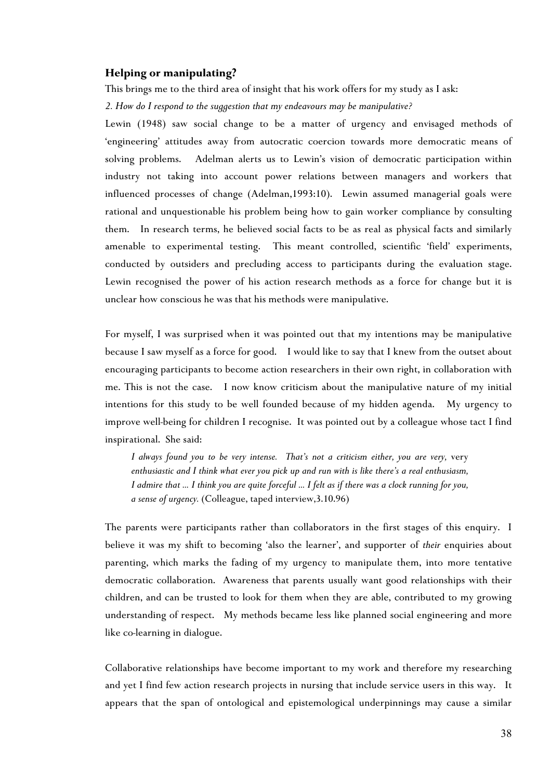## **Helping or manipulating?**

This brings me to the third area of insight that his work offers for my study as I ask:

*2. How do I respond to the suggestion that my endeavours may be manipulative?*

Lewin (1948) saw social change to be a matter of urgency and envisaged methods of 'engineering' attitudes away from autocratic coercion towards more democratic means of solving problems. Adelman alerts us to Lewin's vision of democratic participation within industry not taking into account power relations between managers and workers that influenced processes of change (Adelman,1993:10). Lewin assumed managerial goals were rational and unquestionable his problem being how to gain worker compliance by consulting them. In research terms, he believed social facts to be as real as physical facts and similarly amenable to experimental testing. This meant controlled, scientific 'field' experiments, conducted by outsiders and precluding access to participants during the evaluation stage. Lewin recognised the power of his action research methods as a force for change but it is unclear how conscious he was that his methods were manipulative.

For myself, I was surprised when it was pointed out that my intentions may be manipulative because I saw myself as a force for good. I would like to say that I knew from the outset about encouraging participants to become action researchers in their own right, in collaboration with me. This is not the case. I now know criticism about the manipulative nature of my initial intentions for this study to be well founded because of my hidden agenda. My urgency to improve well-being for children I recognise. It was pointed out by a colleague whose tact I find inspirational. She said:

*I always found you to be very intense. That's not a criticism either, you are very,* very *enthusiastic and I think what ever you pick up and run with is like there's a real enthusiasm, I admire that … I think you are quite forceful … I felt as if there was a clock running for you, a sense of urgency.* (Colleague, taped interview,3.10.96)

The parents were participants rather than collaborators in the first stages of this enquiry. I believe it was my shift to becoming 'also the learner', and supporter of *their* enquiries about parenting, which marks the fading of my urgency to manipulate them, into more tentative democratic collaboration. Awareness that parents usually want good relationships with their children, and can be trusted to look for them when they are able, contributed to my growing understanding of respect. My methods became less like planned social engineering and more like co-learning in dialogue.

Collaborative relationships have become important to my work and therefore my researching and yet I find few action research projects in nursing that include service users in this way. It appears that the span of ontological and epistemological underpinnings may cause a similar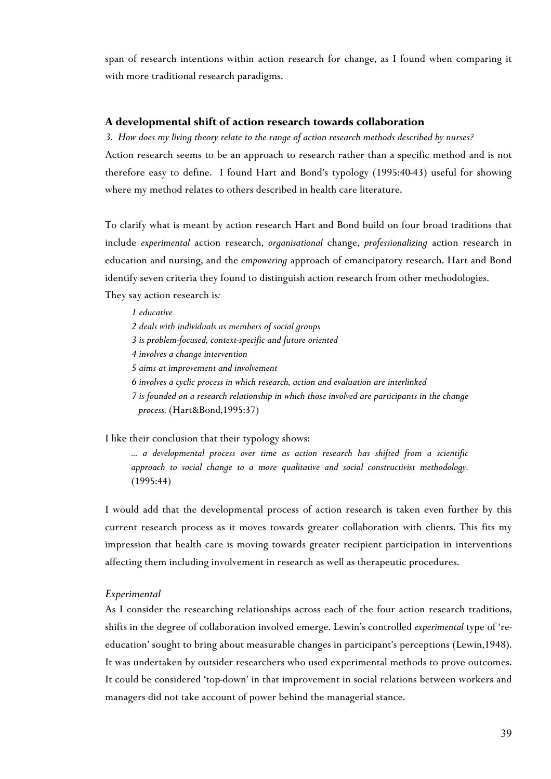span of research intentions within action research for change, as I found when comparing it with more traditional research paradigms.

## **A developmental shift of action research towards collaboration**

*3. How does my living theory relate to the range of action research methods described by nurses?*

Action research seems to be an approach to research rather than a specific method and is not therefore easy to define. I found Hart and Bond's typology (1995:40-43) useful for showing where my method relates to others described in health care literature.

To clarify what is meant by action research Hart and Bond build on four broad traditions that include *experimental* action research, *organisational* change, *professionalizing* action research in education and nursing, and the *empowering* approach of emancipatory research. Hart and Bond identify seven criteria they found to distinguish action research from other methodologies. They say action research is*:*

*1 educative 2 deals with individuals as members of social groups 3 is problem-focused, context-specific and future oriented 4 involves a change intervention 5 aims at improvement and involvement 6 involves a cyclic process in which research, action and evaluation are interlinked 7 is founded on a research relationship in which those involved are participants in the change process.* (Hart&Bond,1995:37)

I like their conclusion that their typology shows:

*... a developmental process over time as action research has shifted from a scientific approach to social change to a more qualitative and social constructivist methodology.* (1995:44)

I would add that the developmental process of action research is taken even further by this current research process as it moves towards greater collaboration with clients. This fits my impression that health care is moving towards greater recipient participation in interventions affecting them including involvement in research as well as therapeutic procedures.

#### *Experimental*

As I consider the researching relationships across each of the four action research traditions, shifts in the degree of collaboration involved emerge. Lewin's controlled *experimental* type of 'reeducation' sought to bring about measurable changes in participant's perceptions (Lewin,1948). It was undertaken by outsider researchers who used experimental methods to prove outcomes. It could be considered 'top-down' in that improvement in social relations between workers and managers did not take account of power behind the managerial stance.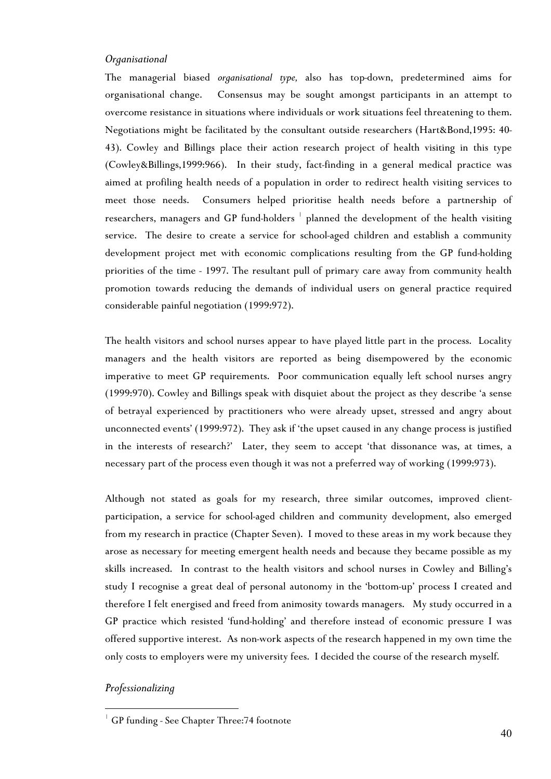#### *Organisational*

The managerial biased *organisational type,* also has top-down, predetermined aims for organisational change. Consensus may be sought amongst participants in an attempt to overcome resistance in situations where individuals or work situations feel threatening to them. Negotiations might be facilitated by the consultant outside researchers (Hart&Bond,1995: 40- 43). Cowley and Billings place their action research project of health visiting in this type (Cowley&Billings,1999:966). In their study, fact-finding in a general medical practice was aimed at profiling health needs of a population in order to redirect health visiting services to meet those needs. Consumers helped prioritise health needs before a partnership of researchers, managers and GP fund-holders  $^\perp$  planned the development of the health visiting service. The desire to create a service for school-aged children and establish a community development project met with economic complications resulting from the GP fund-holding priorities of the time - 1997. The resultant pull of primary care away from community health promotion towards reducing the demands of individual users on general practice required considerable painful negotiation (1999:972).

The health visitors and school nurses appear to have played little part in the process. Locality managers and the health visitors are reported as being disempowered by the economic imperative to meet GP requirements. Poor communication equally left school nurses angry (1999:970). Cowley and Billings speak with disquiet about the project as they describe 'a sense of betrayal experienced by practitioners who were already upset, stressed and angry about unconnected events' (1999:972).They ask if 'the upset caused in any change process is justified in the interests of research?' Later, they seem to accept 'that dissonance was, at times, a necessary part of the process even though it was not a preferred way of working (1999:973).

Although not stated as goals for my research, three similar outcomes, improved clientparticipation, a service for school-aged children and community development, also emerged from my research in practice (Chapter Seven). I moved to these areas in my work because they arose as necessary for meeting emergent health needs and because they became possible as my skills increased. In contrast to the health visitors and school nurses in Cowley and Billing's study I recognise a great deal of personal autonomy in the 'bottom-up' process I created and therefore I felt energised and freed from animosity towards managers. My study occurred in a GP practice which resisted 'fund-holding' and therefore instead of economic pressure I was offered supportive interest. As non-work aspects of the research happened in my own time the only costs to employers were my university fees. I decided the course of the research myself.

# *Professionalizing*

 $\overline{a}$ 

<span id="page-15-0"></span><sup>&</sup>lt;sup>1</sup> GP funding - See Chapter Three: 74 footnote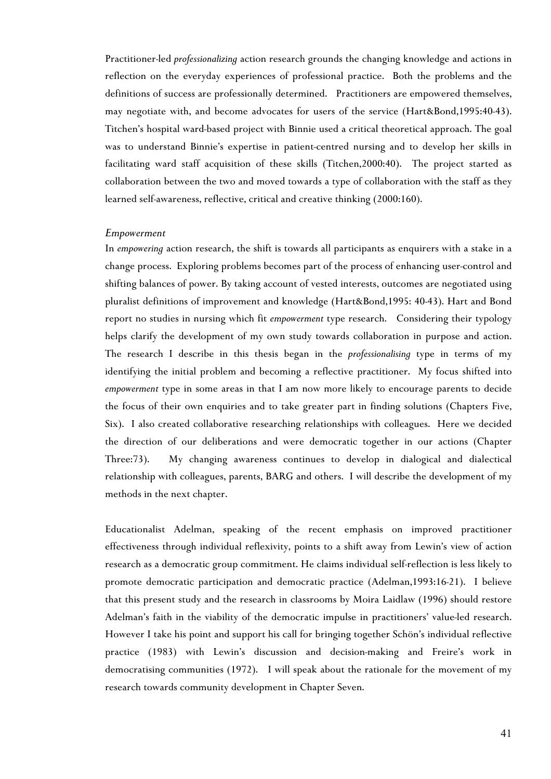Practitioner-led *professionalizing* action research grounds the changing knowledge and actions in reflection on the everyday experiences of professional practice. Both the problems and the definitions of success are professionally determined. Practitioners are empowered themselves, may negotiate with, and become advocates for users of the service (Hart&Bond,1995:40-43). Titchen's hospital ward-based project with Binnie used a critical theoretical approach. The goal was to understand Binnie's expertise in patient-centred nursing and to develop her skills in facilitating ward staff acquisition of these skills (Titchen,2000:40). The project started as collaboration between the two and moved towards a type of collaboration with the staff as they learned self-awareness, reflective, critical and creative thinking (2000:160).

#### *Empowerment*

In *empowering* action research, the shift is towards all participants as enquirers with a stake in a change process. Exploring problems becomes part of the process of enhancing user-control and shifting balances of power. By taking account of vested interests, outcomes are negotiated using pluralist definitions of improvement and knowledge (Hart&Bond,1995: 40-43). Hart and Bond report no studies in nursing which fit *empowerment* type research. Considering their typology helps clarify the development of my own study towards collaboration in purpose and action. The research I describe in this thesis began in the *professionalising* type in terms of my identifying the initial problem and becoming a reflective practitioner. My focus shifted into *empowerment* type in some areas in that I am now more likely to encourage parents to decide the focus of their own enquiries and to take greater part in finding solutions (Chapters Five, Six). I also created collaborative researching relationships with colleagues. Here we decided the direction of our deliberations and were democratic together in our actions (Chapter Three:73). My changing awareness continues to develop in dialogical and dialectical relationship with colleagues, parents, BARG and others. I will describe the development of my methods in the next chapter.

Educationalist Adelman, speaking of the recent emphasis on improved practitioner effectiveness through individual reflexivity, points to a shift away from Lewin's view of action research as a democratic group commitment. He claims individual self-reflection is less likely to promote democratic participation and democratic practice (Adelman,1993:16-21). I believe that this present study and the research in classrooms by Moira Laidlaw (1996) should restore Adelman's faith in the viability of the democratic impulse in practitioners' value-led research. However I take his point and support his call for bringing together Schön's individual reflective practice (1983) with Lewin's discussion and decision-making and Freire's work in democratising communities (1972). I will speak about the rationale for the movement of my research towards community development in Chapter Seven.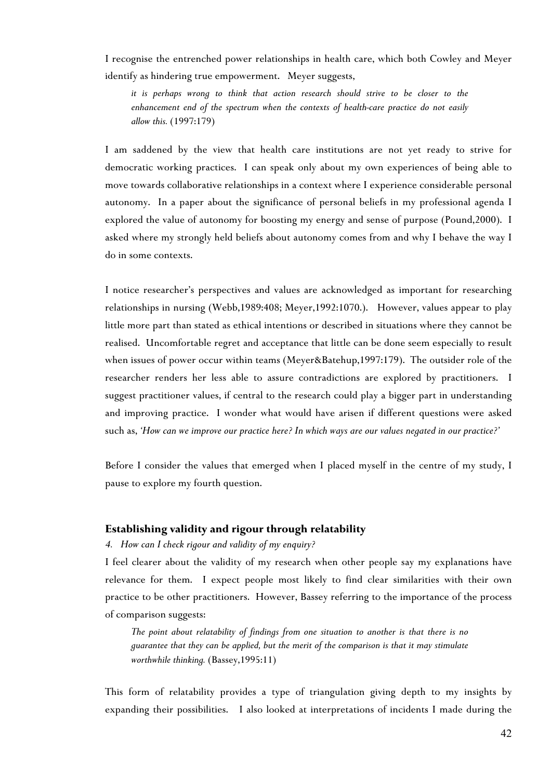I recognise the entrenched power relationships in health care, which both Cowley and Meyer identify as hindering true empowerment. Meyer suggests,

*it is perhaps wrong to think that action research should strive to be closer to the enhancement end of the spectrum when the contexts of health-care practice do not easily allow this.* (1997:179)

I am saddened by the view that health care institutions are not yet ready to strive for democratic working practices. I can speak only about my own experiences of being able to move towards collaborative relationships in a context where I experience considerable personal autonomy. In a paper about the significance of personal beliefs in my professional agenda I explored the value of autonomy for boosting my energy and sense of purpose (Pound,2000). I asked where my strongly held beliefs about autonomy comes from and why I behave the way I do in some contexts.

I notice researcher's perspectives and values are acknowledged as important for researching relationships in nursing (Webb,1989:408; Meyer,1992:1070.). However, values appear to play little more part than stated as ethical intentions or described in situations where they cannot be realised. Uncomfortable regret and acceptance that little can be done seem especially to result when issues of power occur within teams (Meyer&Batehup,1997:179). The outsider role of the researcher renders her less able to assure contradictions are explored by practitioners. I suggest practitioner values, if central to the research could play a bigger part in understanding and improving practice. I wonder what would have arisen if different questions were asked such as, *'How can we improve our practice here? In which ways are our values negated in our practice?'*

Before I consider the values that emerged when I placed myself in the centre of my study, I pause to explore my fourth question.

#### **Establishing validity and rigour through relatability**

### *4. How can I check rigour and validity of my enquiry?*

I feel clearer about the validity of my research when other people say my explanations have relevance for them. I expect people most likely to find clear similarities with their own practice to be other practitioners. However, Bassey referring to the importance of the process of comparison suggests:

*The point about relatability of findings from one situation to another is that there is no guarantee that they can be applied, but the merit of the comparison is that it may stimulate worthwhile thinking.* (Bassey,1995:11)

This form of relatability provides a type of triangulation giving depth to my insights by expanding their possibilities. I also looked at interpretations of incidents I made during the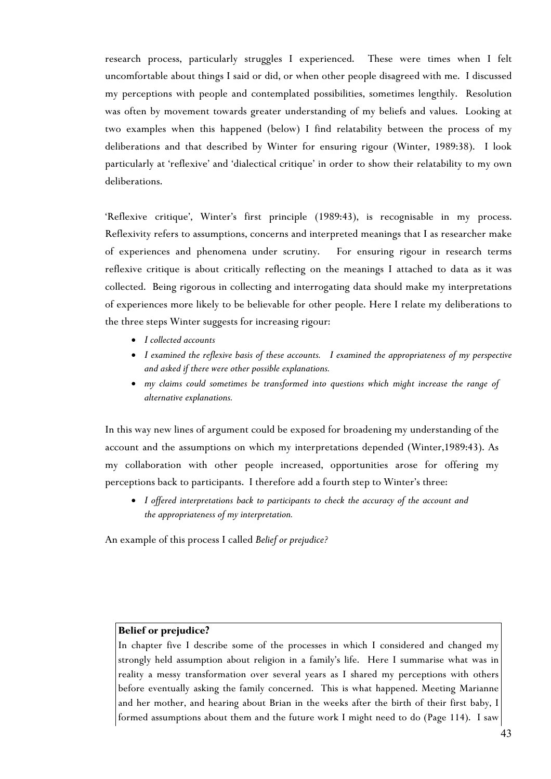research process, particularly struggles I experienced. These were times when I felt uncomfortable about things I said or did, or when other people disagreed with me. I discussed my perceptions with people and contemplated possibilities, sometimes lengthily. Resolution was often by movement towards greater understanding of my beliefs and values. Looking at two examples when this happened (below) I find relatability between the process of my deliberations and that described by Winter for ensuring rigour (Winter, 1989:38). I look particularly at 'reflexive' and 'dialectical critique' in order to show their relatability to my own deliberations.

'Reflexive critique', Winter's first principle (1989:43), is recognisable in my process. Reflexivity refers to assumptions, concerns and interpreted meanings that I as researcher make of experiences and phenomena under scrutiny. For ensuring rigour in research terms reflexive critique is about critically reflecting on the meanings I attached to data as it was collected. Being rigorous in collecting and interrogating data should make my interpretations of experiences more likely to be believable for other people. Here I relate my deliberations to the three steps Winter suggests for increasing rigour:

- *I collected accounts*
- *I examined the reflexive basis of these accounts. I examined the appropriateness of my perspective and asked if there were other possible explanations.*
- *my claims could sometimes be transformed into questions which might increase the range of alternative explanations.*

In this way new lines of argument could be exposed for broadening my understanding of the account and the assumptions on which my interpretations depended (Winter,1989:43). As my collaboration with other people increased, opportunities arose for offering my perceptions back to participants. I therefore add a fourth step to Winter's three:

• *I offered interpretations back to participants to check the accuracy of the account and the appropriateness of my interpretation.* 

An example of this process I called *Belief or prejudice?*

## **Belief or prejudice?**

In chapter five I describe some of the processes in which I considered and changed my strongly held assumption about religion in a family's life. Here I summarise what was in reality a messy transformation over several years as I shared my perceptions with others before eventually asking the family concerned. This is what happened. Meeting Marianne and her mother, and hearing about Brian in the weeks after the birth of their first baby, I formed assumptions about them and the future work I might need to do (Page 114). I saw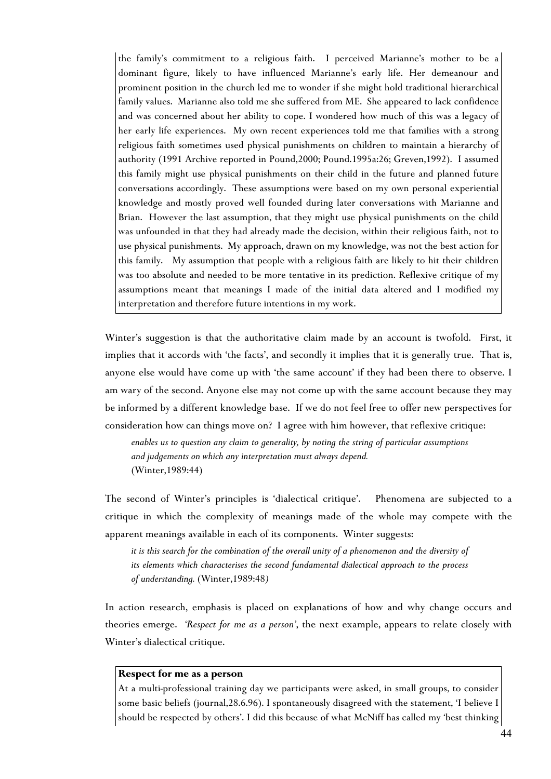the family's commitment to a religious faith. I perceived Marianne's mother to be a dominant figure, likely to have influenced Marianne's early life. Her demeanour and prominent position in the church led me to wonder if she might hold traditional hierarchical family values. Marianne also told me she suffered from ME. She appeared to lack confidence and was concerned about her ability to cope. I wondered how much of this was a legacy of her early life experiences. My own recent experiences told me that families with a strong religious faith sometimes used physical punishments on children to maintain a hierarchy of authority (1991 Archive reported in Pound,2000; Pound.1995a:26; Greven,1992). I assumed this family might use physical punishments on their child in the future and planned future conversations accordingly. These assumptions were based on my own personal experiential knowledge and mostly proved well founded during later conversations with Marianne and Brian. However the last assumption, that they might use physical punishments on the child was unfounded in that they had already made the decision, within their religious faith, not to use physical punishments. My approach, drawn on my knowledge, was not the best action for this family. My assumption that people with a religious faith are likely to hit their children was too absolute and needed to be more tentative in its prediction. Reflexive critique of my assumptions meant that meanings I made of the initial data altered and I modified my interpretation and therefore future intentions in my work.

Winter's suggestion is that the authoritative claim made by an account is twofold. First, it implies that it accords with 'the facts', and secondly it implies that it is generally true. That is, anyone else would have come up with 'the same account' if they had been there to observe. I am wary of the second. Anyone else may not come up with the same account because they may be informed by a different knowledge base. If we do not feel free to offer new perspectives for consideration how can things move on? I agree with him however, that reflexive critique:

*enables us to question any claim to generality, by noting the string of particular assumptions and judgements on which any interpretation must always depend.* (Winter,1989:44)

The second of Winter's principles is 'dialectical critique'. Phenomena are subjected to a critique in which the complexity of meanings made of the whole may compete with the apparent meanings available in each of its components. Winter suggests:

*it is this search for the combination of the overall unity of a phenomenon and the diversity of its elements which characterises the second fundamental dialectical approach to the process of understanding.* (Winter,1989:48*)*

In action research, emphasis is placed on explanations of how and why change occurs and theories emerge. *'Respect for me as a person'*, the next example, appears to relate closely with Winter's dialectical critique.

#### **Respect for me as a person**

At a multi-professional training day we participants were asked, in small groups, to consider some basic beliefs (journal,28.6.96). I spontaneously disagreed with the statement, 'I believe I should be respected by others'. I did this because of what McNiff has called my 'best thinking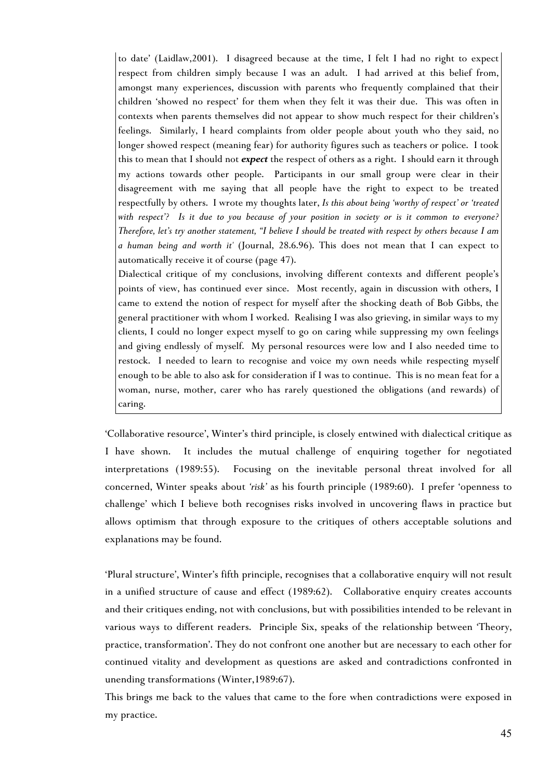to date' (Laidlaw,2001). I disagreed because at the time, I felt I had no right to expect respect from children simply because I was an adult. I had arrived at this belief from, amongst many experiences, discussion with parents who frequently complained that their children 'showed no respect' for them when they felt it was their due. This was often in contexts when parents themselves did not appear to show much respect for their children's feelings. Similarly, I heard complaints from older people about youth who they said, no longer showed respect (meaning fear) for authority figures such as teachers or police. I took this to mean that I should not *expect* the respect of others as a right. I should earn it through my actions towards other people. Participants in our small group were clear in their disagreement with me saying that all people have the right to expect to be treated respectfully by others. I wrote my thoughts later, *Is this about being 'worthy of respect' or 'treated with respect'? Is it due to you because of your position in society or is it common to everyone? Therefore, let's try another statement, "I believe I should be treated with respect by others because I am a human being and worth it'* (Journal, 28.6.96). This does not mean that I can expect to automatically receive it of course (page 47).

Dialectical critique of my conclusions, involving different contexts and different people's points of view, has continued ever since. Most recently, again in discussion with others, I came to extend the notion of respect for myself after the shocking death of Bob Gibbs, the general practitioner with whom I worked. Realising I was also grieving, in similar ways to my clients, I could no longer expect myself to go on caring while suppressing my own feelings and giving endlessly of myself. My personal resources were low and I also needed time to restock. I needed to learn to recognise and voice my own needs while respecting myself enough to be able to also ask for consideration if I was to continue. This is no mean feat for a woman, nurse, mother, carer who has rarely questioned the obligations (and rewards) of caring.

'Collaborative resource', Winter's third principle, is closely entwined with dialectical critique as I have shown. It includes the mutual challenge of enquiring together for negotiated interpretations (1989:55). Focusing on the inevitable personal threat involved for all concerned, Winter speaks about *'risk'* as his fourth principle (1989:60). I prefer 'openness to challenge' which I believe both recognises risks involved in uncovering flaws in practice but allows optimism that through exposure to the critiques of others acceptable solutions and explanations may be found.

'Plural structure', Winter's fifth principle, recognises that a collaborative enquiry will not result in a unified structure of cause and effect (1989:62). Collaborative enquiry creates accounts and their critiques ending, not with conclusions, but with possibilities intended to be relevant in various ways to different readers. Principle Six, speaks of the relationship between 'Theory, practice, transformation'. They do not confront one another but are necessary to each other for continued vitality and development as questions are asked and contradictions confronted in unending transformations (Winter,1989:67).

This brings me back to the values that came to the fore when contradictions were exposed in my practice.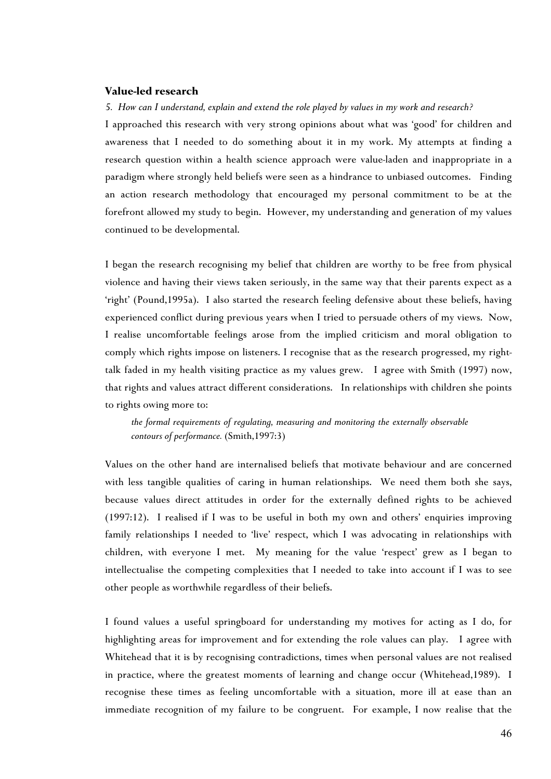# **Value-led research**

### *5. How can I understand, explain and extend the role played by values in my work and research?*

I approached this research with very strong opinions about what was 'good' for children and awareness that I needed to do something about it in my work. My attempts at finding a research question within a health science approach were value-laden and inappropriate in a paradigm where strongly held beliefs were seen as a hindrance to unbiased outcomes. Finding an action research methodology that encouraged my personal commitment to be at the forefront allowed my study to begin. However, my understanding and generation of my values continued to be developmental.

I began the research recognising my belief that children are worthy to be free from physical violence and having their views taken seriously, in the same way that their parents expect as a 'right' (Pound,1995a). I also started the research feeling defensive about these beliefs, having experienced conflict during previous years when I tried to persuade others of my views. Now, I realise uncomfortable feelings arose from the implied criticism and moral obligation to comply which rights impose on listeners. I recognise that as the research progressed, my righttalk faded in my health visiting practice as my values grew. I agree with Smith (1997) now, that rights and values attract different considerations. In relationships with children she points to rights owing more to:

*the formal requirements of regulating, measuring and monitoring the externally observable contours of performance.* (Smith,1997:3)

Values on the other hand are internalised beliefs that motivate behaviour and are concerned with less tangible qualities of caring in human relationships. We need them both she says, because values direct attitudes in order for the externally defined rights to be achieved (1997:12). I realised if I was to be useful in both my own and others' enquiries improving family relationships I needed to 'live' respect, which I was advocating in relationships with children, with everyone I met. My meaning for the value 'respect' grew as I began to intellectualise the competing complexities that I needed to take into account if I was to see other people as worthwhile regardless of their beliefs.

I found values a useful springboard for understanding my motives for acting as I do, for highlighting areas for improvement and for extending the role values can play. I agree with Whitehead that it is by recognising contradictions, times when personal values are not realised in practice, where the greatest moments of learning and change occur (Whitehead,1989). I recognise these times as feeling uncomfortable with a situation, more ill at ease than an immediate recognition of my failure to be congruent. For example, I now realise that the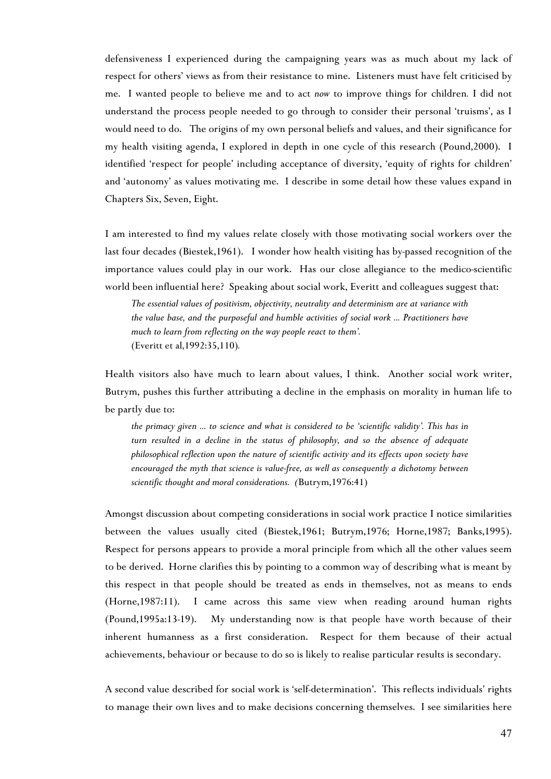defensiveness I experienced during the campaigning years was as much about my lack of respect for others' views as from their resistance to mine. Listeners must have felt criticised by me. I wanted people to believe me and to act *now* to improve things for children*.* I did not understand the process people needed to go through to consider their personal 'truisms', as I would need to do. The origins of my own personal beliefs and values, and their significance for my health visiting agenda, I explored in depth in one cycle of this research (Pound,2000). I identified 'respect for people' including acceptance of diversity, 'equity of rights for children' and 'autonomy' as values motivating me. I describe in some detail how these values expand in Chapters Six, Seven, Eight.

I am interested to find my values relate closely with those motivating social workers over the last four decades (Biestek,1961). I wonder how health visiting has by-passed recognition of the importance values could play in our work. Has our close allegiance to the medico-scientific world been influential here? Speaking about social work, Everitt and colleagues suggest that:

*The essential values of positivism, objectivity, neutrality and determinism are at variance with the value base, and the purposeful and humble activities of social work ... Practitioners have much to learn from reflecting on the way people react to them'.* (Everitt et al,1992:35,110)*.*

Health visitors also have much to learn about values, I think. Another social work writer, Butrym, pushes this further attributing a decline in the emphasis on morality in human life to be partly due to:

*the primacy given ... to science and what is considered to be 'scientific validity'. This has in turn resulted in a decline in the status of philosophy, and so the absence of adequate philosophical reflection upon the nature of scientific activity and its effects upon society have encouraged the myth that science is value-free, as well as consequently a dichotomy between scientific thought and moral considerations. (*Butrym,1976:41)

Amongst discussion about competing considerations in social work practice I notice similarities between the values usually cited (Biestek,1961; Butrym,1976; Horne,1987; Banks,1995). Respect for persons appears to provide a moral principle from which all the other values seem to be derived. Horne clarifies this by pointing to a common way of describing what is meant by this respect in that people should be treated as ends in themselves, not as means to ends (Horne,1987:11). I came across this same view when reading around human rights (Pound,1995a:13-19). My understanding now is that people have worth because of their inherent humanness as a first consideration. Respect for them because of their actual achievements, behaviour or because to do so is likely to realise particular results is secondary.

A second value described for social work is 'self-determination'. This reflects individuals' rights to manage their own lives and to make decisions concerning themselves. I see similarities here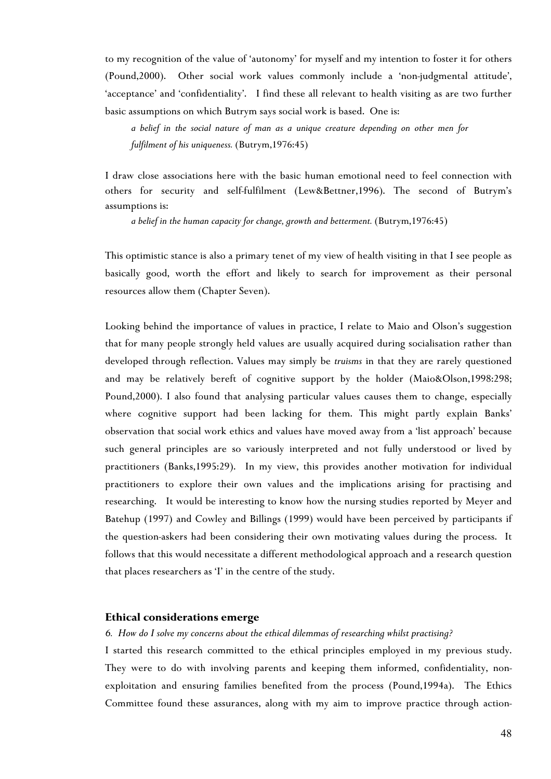to my recognition of the value of 'autonomy' for myself and my intention to foster it for others (Pound,2000). Other social work values commonly include a 'non-judgmental attitude', 'acceptance' and 'confidentiality'. I find these all relevant to health visiting as are two further basic assumptions on which Butrym says social work is based. One is:

*a belief in the social nature of man as a unique creature depending on other men for fulfilment of his uniqueness.* (Butrym,1976:45)

I draw close associations here with the basic human emotional need to feel connection with others for security and self-fulfilment (Lew&Bettner,1996). The second of Butrym's assumptions is:

*a belief in the human capacity for change, growth and betterment.* (Butrym,1976:45)

This optimistic stance is also a primary tenet of my view of health visiting in that I see people as basically good, worth the effort and likely to search for improvement as their personal resources allow them (Chapter Seven).

Looking behind the importance of values in practice, I relate to Maio and Olson's suggestion that for many people strongly held values are usually acquired during socialisation rather than developed through reflection. Values may simply be *truisms* in that they are rarely questioned and may be relatively bereft of cognitive support by the holder (Maio&Olson,1998:298; Pound,2000). I also found that analysing particular values causes them to change, especially where cognitive support had been lacking for them. This might partly explain Banks' observation that social work ethics and values have moved away from a 'list approach' because such general principles are so variously interpreted and not fully understood or lived by practitioners (Banks,1995:29). In my view, this provides another motivation for individual practitioners to explore their own values and the implications arising for practising and researching. It would be interesting to know how the nursing studies reported by Meyer and Batehup (1997) and Cowley and Billings (1999) would have been perceived by participants if the question-askers had been considering their own motivating values during the process. It follows that this would necessitate a different methodological approach and a research question that places researchers as 'I' in the centre of the study.

## **Ethical considerations emerge**

### *6. How do I solve my concerns about the ethical dilemmas of researching whilst practising?*

I started this research committed to the ethical principles employed in my previous study. They were to do with involving parents and keeping them informed, confidentiality, nonexploitation and ensuring families benefited from the process (Pound,1994a). The Ethics Committee found these assurances, along with my aim to improve practice through action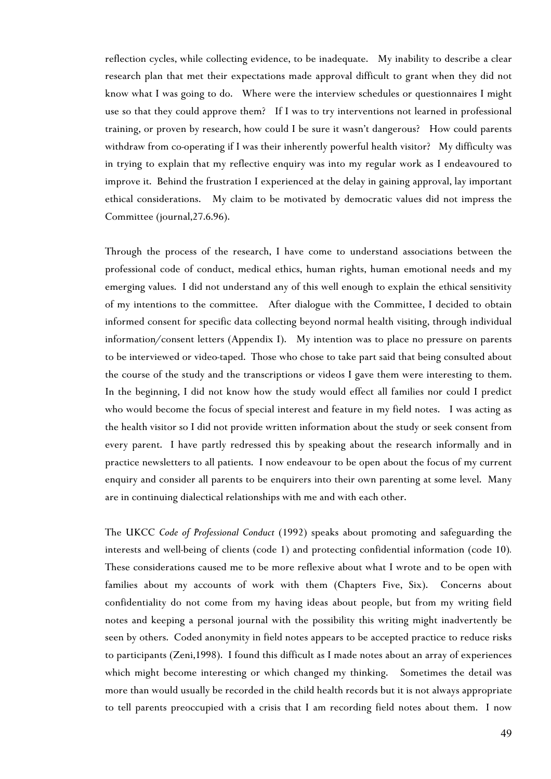reflection cycles, while collecting evidence, to be inadequate. My inability to describe a clear research plan that met their expectations made approval difficult to grant when they did not know what I was going to do. Where were the interview schedules or questionnaires I might use so that they could approve them? If I was to try interventions not learned in professional training, or proven by research, how could I be sure it wasn't dangerous? How could parents withdraw from co-operating if I was their inherently powerful health visitor? My difficulty was in trying to explain that my reflective enquiry was into my regular work as I endeavoured to improve it. Behind the frustration I experienced at the delay in gaining approval, lay important ethical considerations. My claim to be motivated by democratic values did not impress the Committee (journal,27.6.96).

Through the process of the research, I have come to understand associations between the professional code of conduct, medical ethics, human rights, human emotional needs and my emerging values. I did not understand any of this well enough to explain the ethical sensitivity of my intentions to the committee. After dialogue with the Committee, I decided to obtain informed consent for specific data collecting beyond normal health visiting, through individual information/consent letters (Appendix I). My intention was to place no pressure on parents to be interviewed or video-taped. Those who chose to take part said that being consulted about the course of the study and the transcriptions or videos I gave them were interesting to them. In the beginning, I did not know how the study would effect all families nor could I predict who would become the focus of special interest and feature in my field notes. I was acting as the health visitor so I did not provide written information about the study or seek consent from every parent. I have partly redressed this by speaking about the research informally and in practice newsletters to all patients. I now endeavour to be open about the focus of my current enquiry and consider all parents to be enquirers into their own parenting at some level. Many are in continuing dialectical relationships with me and with each other.

The UKCC *Code of Professional Conduct* (1992) speaks about promoting and safeguarding the interests and well-being of clients (code 1) and protecting confidential information (code 10)*.* These considerations caused me to be more reflexive about what I wrote and to be open with families about my accounts of work with them (Chapters Five, Six). Concerns about confidentiality do not come from my having ideas about people, but from my writing field notes and keeping a personal journal with the possibility this writing might inadvertently be seen by others. Coded anonymity in field notes appears to be accepted practice to reduce risks to participants (Zeni,1998). I found this difficult as I made notes about an array of experiences which might become interesting or which changed my thinking. Sometimes the detail was more than would usually be recorded in the child health records but it is not always appropriate to tell parents preoccupied with a crisis that I am recording field notes about them. I now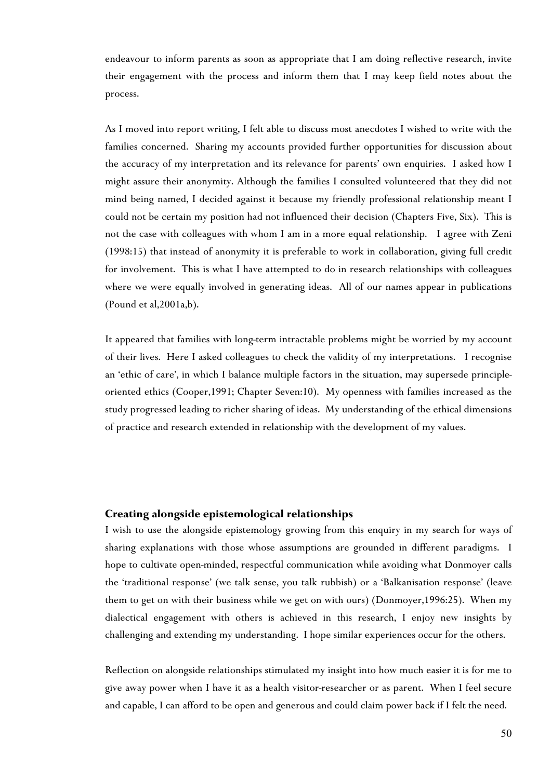endeavour to inform parents as soon as appropriate that I am doing reflective research, invite their engagement with the process and inform them that I may keep field notes about the process.

As I moved into report writing, I felt able to discuss most anecdotes I wished to write with the families concerned. Sharing my accounts provided further opportunities for discussion about the accuracy of my interpretation and its relevance for parents' own enquiries. I asked how I might assure their anonymity. Although the families I consulted volunteered that they did not mind being named, I decided against it because my friendly professional relationship meant I could not be certain my position had not influenced their decision (Chapters Five, Six). This is not the case with colleagues with whom I am in a more equal relationship. I agree with Zeni (1998:15) that instead of anonymity it is preferable to work in collaboration, giving full credit for involvement. This is what I have attempted to do in research relationships with colleagues where we were equally involved in generating ideas. All of our names appear in publications (Pound et al,2001a,b).

It appeared that families with long-term intractable problems might be worried by my account of their lives. Here I asked colleagues to check the validity of my interpretations. I recognise an 'ethic of care', in which I balance multiple factors in the situation, may supersede principleoriented ethics (Cooper,1991; Chapter Seven:10). My openness with families increased as the study progressed leading to richer sharing of ideas. My understanding of the ethical dimensions of practice and research extended in relationship with the development of my values.

### **Creating alongside epistemological relationships**

I wish to use the alongside epistemology growing from this enquiry in my search for ways of sharing explanations with those whose assumptions are grounded in different paradigms. I hope to cultivate open-minded, respectful communication while avoiding what Donmoyer calls the 'traditional response' (we talk sense, you talk rubbish) or a 'Balkanisation response' (leave them to get on with their business while we get on with ours) (Donmoyer,1996:25). When my dialectical engagement with others is achieved in this research, I enjoy new insights by challenging and extending my understanding. I hope similar experiences occur for the others.

Reflection on alongside relationships stimulated my insight into how much easier it is for me to give away power when I have it as a health visitor-researcher or as parent. When I feel secure and capable, I can afford to be open and generous and could claim power back if I felt the need.